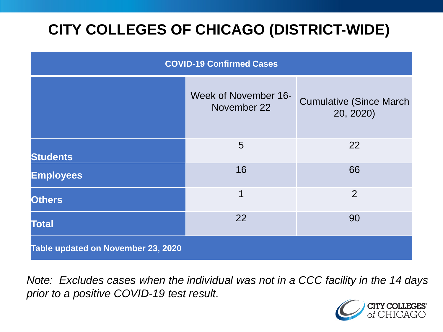# **CITY COLLEGES OF CHICAGO (DISTRICT-WIDE)**

| <b>COVID-19 Confirmed Cases</b>    |                                     |                                              |
|------------------------------------|-------------------------------------|----------------------------------------------|
|                                    | Week of November 16-<br>November 22 | <b>Cumulative (Since March)</b><br>20, 2020) |
| <b>Students</b>                    | 5                                   | 22                                           |
| <b>Employees</b>                   | 16                                  | 66                                           |
| <b>Others</b>                      | 1                                   | 2                                            |
| <b>Total</b>                       | 22                                  | 90                                           |
| Table updated on November 23, 2020 |                                     |                                              |

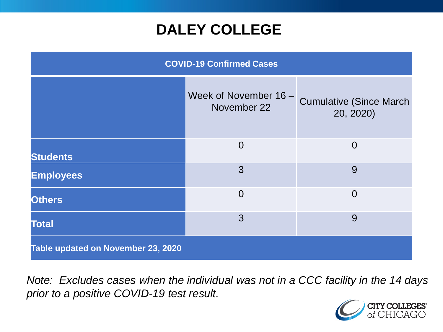## **DALEY COLLEGE**

| <b>COVID-19 Confirmed Cases</b>    |                                      |                                             |
|------------------------------------|--------------------------------------|---------------------------------------------|
|                                    | Week of November 16 -<br>November 22 | <b>Cumulative (Since March</b><br>20, 2020) |
| <b>Students</b>                    | $\overline{0}$                       | $\Omega$                                    |
| <b>Employees</b>                   | 3                                    | 9                                           |
| <b>Others</b>                      | $\overline{0}$                       | $\overline{0}$                              |
| <b>Total</b>                       | 3                                    | 9                                           |
| Table updated on November 23, 2020 |                                      |                                             |

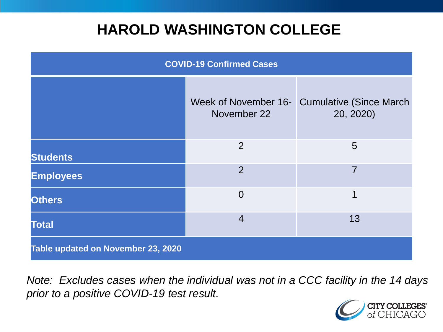## **HAROLD WASHINGTON COLLEGE**

| <b>COVID-19 Confirmed Cases</b>    |                                     |                                              |
|------------------------------------|-------------------------------------|----------------------------------------------|
|                                    | Week of November 16-<br>November 22 | <b>Cumulative (Since March)</b><br>20, 2020) |
| <b>Students</b>                    | 2                                   | 5                                            |
| <b>Employees</b>                   | $\overline{2}$                      | 7                                            |
| <b>Others</b>                      | $\overline{0}$                      | 1                                            |
| <b>Total</b>                       | $\overline{4}$                      | 13                                           |
| Table updated on November 23, 2020 |                                     |                                              |

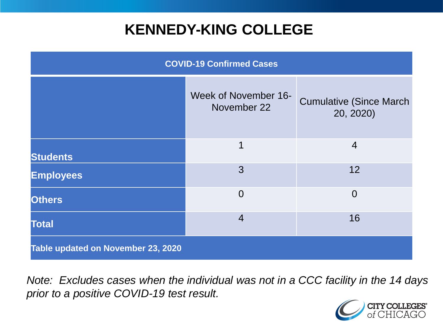## **KENNEDY-KING COLLEGE**

| <b>COVID-19 Confirmed Cases</b>    |                                     |                                              |
|------------------------------------|-------------------------------------|----------------------------------------------|
|                                    | Week of November 16-<br>November 22 | <b>Cumulative (Since March)</b><br>20, 2020) |
| <b>Students</b>                    | 1                                   | $\overline{4}$                               |
| <b>Employees</b>                   | 3                                   | 12                                           |
| <b>Others</b>                      | $\overline{0}$                      | $\overline{0}$                               |
| <b>Total</b>                       | $\overline{4}$                      | 16                                           |
| Table updated on November 23, 2020 |                                     |                                              |

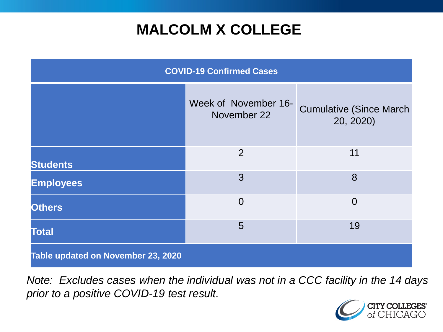## **MALCOLM X COLLEGE**

| <b>COVID-19 Confirmed Cases</b>    |                                     |                                              |
|------------------------------------|-------------------------------------|----------------------------------------------|
|                                    | Week of November 16-<br>November 22 | <b>Cumulative (Since March)</b><br>20, 2020) |
| <b>Students</b>                    | 2                                   | 11                                           |
| <b>Employees</b>                   | 3                                   | 8                                            |
| <b>Others</b>                      | $\overline{0}$                      | $\overline{0}$                               |
| <b>Total</b>                       | 5                                   | 19                                           |
| Table updated on November 23, 2020 |                                     |                                              |

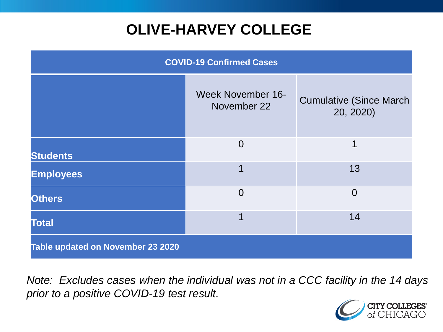# **OLIVE-HARVEY COLLEGE**

| <b>COVID-19 Confirmed Cases</b>   |                                         |                                              |
|-----------------------------------|-----------------------------------------|----------------------------------------------|
|                                   | <b>Week November 16-</b><br>November 22 | <b>Cumulative (Since March)</b><br>20, 2020) |
| <b>Students</b>                   | $\overline{0}$                          | 1                                            |
| <b>Employees</b>                  |                                         | 13                                           |
| <b>Others</b>                     | $\overline{0}$                          | $\overline{0}$                               |
| <b>Total</b>                      |                                         | 14                                           |
| Table updated on November 23 2020 |                                         |                                              |

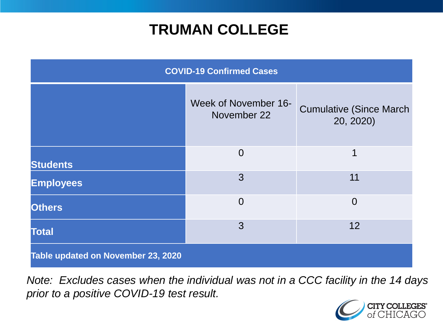## **TRUMAN COLLEGE**

| <b>COVID-19 Confirmed Cases</b>    |                                     |                                              |
|------------------------------------|-------------------------------------|----------------------------------------------|
|                                    | Week of November 16-<br>November 22 | <b>Cumulative (Since March)</b><br>20, 2020) |
| <b>Students</b>                    | $\overline{0}$                      | 1                                            |
| <b>Employees</b>                   | 3                                   | 11                                           |
| <b>Others</b>                      | $\Omega$                            | $\Omega$                                     |
| <b>Total</b>                       | 3                                   | 12                                           |
| Table updated on November 23, 2020 |                                     |                                              |

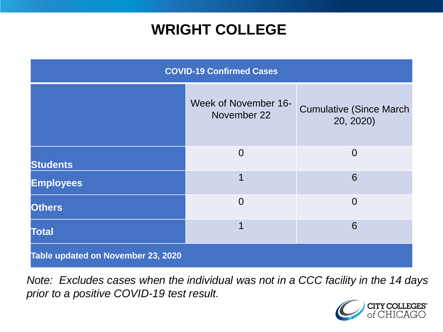## **WRIGHT COLLEGE**

| <b>COVID-19 Confirmed Cases</b>    |                                     |                                              |
|------------------------------------|-------------------------------------|----------------------------------------------|
|                                    | Week of November 16-<br>November 22 | <b>Cumulative (Since March)</b><br>20, 2020) |
| <b>Students</b>                    | $\overline{0}$                      | $\overline{0}$                               |
| <b>Employees</b>                   |                                     | 6                                            |
| <b>Others</b>                      | $\overline{0}$                      | $\overline{0}$                               |
| <b>Total</b>                       |                                     | 6                                            |
| Table updated on November 23, 2020 |                                     |                                              |